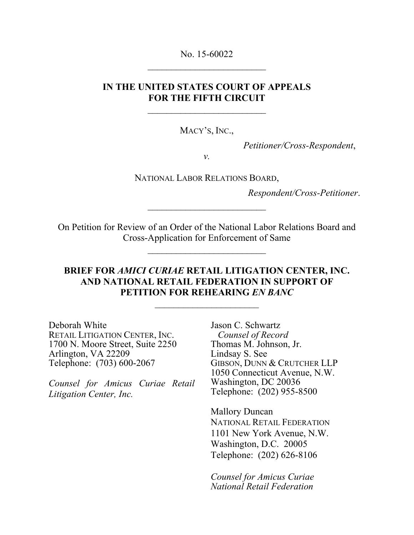No. 15-60022  $\overline{\phantom{a}}$  , which is a set of the set of the set of the set of the set of the set of the set of the set of the set of the set of the set of the set of the set of the set of the set of the set of the set of the set of th

## **IN THE UNITED STATES COURT OF APPEALS FOR THE FIFTH CIRCUIT**

 $\overline{\phantom{a}}$  , which is a set of the set of the set of the set of the set of the set of the set of the set of the set of the set of the set of the set of the set of the set of the set of the set of the set of the set of th

MACY'S, INC.,

*Petitioner/Cross-Respondent*,

*v.*

NATIONAL LABOR RELATIONS BOARD,

*Respondent/Cross-Petitioner*.

On Petition for Review of an Order of the National Labor Relations Board and Cross-Application for Enforcement of Same

 $\overline{\phantom{a}}$  , which is a set of the set of the set of the set of the set of the set of the set of the set of the set of the set of the set of the set of the set of the set of the set of the set of the set of the set of th

 $\overline{\phantom{a}}$  , which is a set of the set of the set of the set of the set of the set of the set of the set of the set of the set of the set of the set of the set of the set of the set of the set of the set of the set of th

## **BRIEF FOR** *AMICI CURIAE* **RETAIL LITIGATION CENTER, INC. AND NATIONAL RETAIL FEDERATION IN SUPPORT OF PETITION FOR REHEARING** *EN BANC*

\_\_\_\_\_\_\_\_\_\_\_\_\_\_\_\_\_\_\_\_\_\_

Deborah White RETAIL LITIGATION CENTER, INC. 1700 N. Moore Street, Suite 2250 Arlington, VA 22209 Telephone: (703) 600-2067

*Counsel for Amicus Curiae Retail Litigation Center, Inc.*

Jason C. Schwartz *Counsel of Record* Thomas M. Johnson, Jr. Lindsay S. See GIBSON, DUNN & CRUTCHER LLP 1050 Connecticut Avenue, N.W. Washington, DC 20036 Telephone: (202) 955-8500

Mallory Duncan NATIONAL RETAIL FEDERATION 1101 New York Avenue, N.W. Washington, D.C. 20005 Telephone: (202) 626-8106

*Counsel for Amicus Curiae National Retail Federation*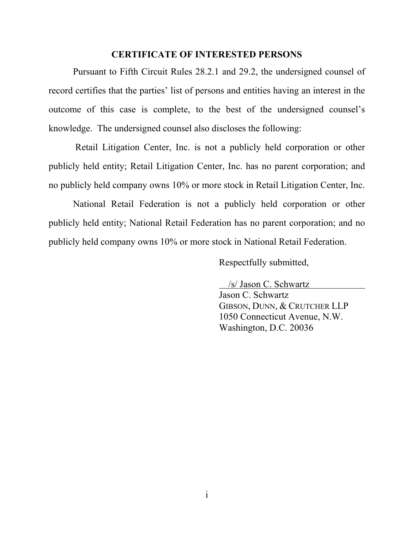#### **CERTIFICATE OF INTERESTED PERSONS**

Pursuant to Fifth Circuit Rules 28.2.1 and 29.2, the undersigned counsel of record certifies that the parties' list of persons and entities having an interest in the outcome of this case is complete, to the best of the undersigned counsel's knowledge. The undersigned counsel also discloses the following:

Retail Litigation Center, Inc. is not a publicly held corporation or other publicly held entity; Retail Litigation Center, Inc. has no parent corporation; and no publicly held company owns 10% or more stock in Retail Litigation Center, Inc.

National Retail Federation is not a publicly held corporation or other publicly held entity; National Retail Federation has no parent corporation; and no publicly held company owns 10% or more stock in National Retail Federation.

Respectfully submitted,

 /s/ Jason C. Schwartz Jason C. Schwartz GIBSON, DUNN, & CRUTCHER LLP 1050 Connecticut Avenue, N.W. Washington, D.C. 20036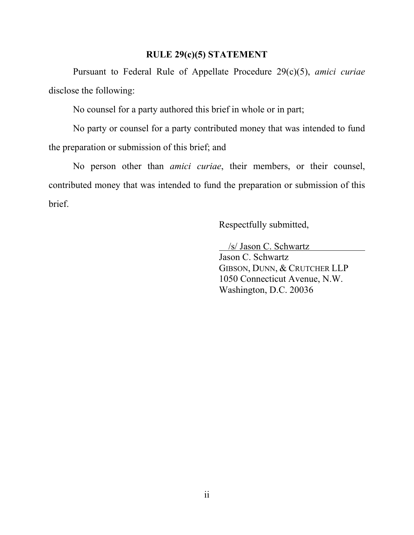#### **RULE 29(c)(5) STATEMENT**

Pursuant to Federal Rule of Appellate Procedure 29(c)(5), *amici curiae* disclose the following:

No counsel for a party authored this brief in whole or in part;

No party or counsel for a party contributed money that was intended to fund the preparation or submission of this brief; and

No person other than *amici curiae*, their members, or their counsel, contributed money that was intended to fund the preparation or submission of this brief.

Respectfully submitted,

/s/ Jason C. Schwartz

Jason C. Schwartz GIBSON, DUNN, & CRUTCHER LLP 1050 Connecticut Avenue, N.W. Washington, D.C. 20036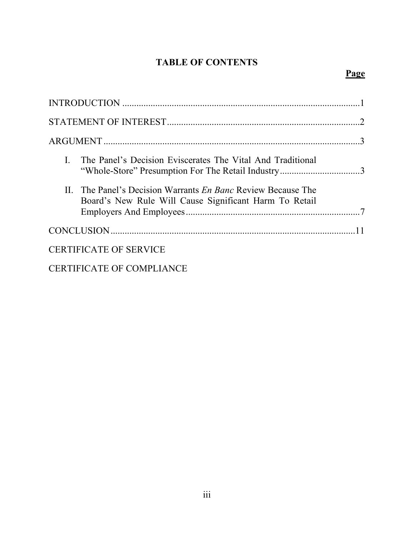# **TABLE OF CONTENTS**

| $\mathbf{L}$<br>The Panel's Decision Eviscerates The Vital And Traditional<br>"Whole-Store" Presumption For The Retail Industry3 |  |
|----------------------------------------------------------------------------------------------------------------------------------|--|
| II. The Panel's Decision Warrants <i>En Banc</i> Review Because The<br>Board's New Rule Will Cause Significant Harm To Retail    |  |
|                                                                                                                                  |  |
| <b>CERTIFICATE OF SERVICE</b>                                                                                                    |  |
| <b>CERTIFICATE OF COMPLIANCE</b>                                                                                                 |  |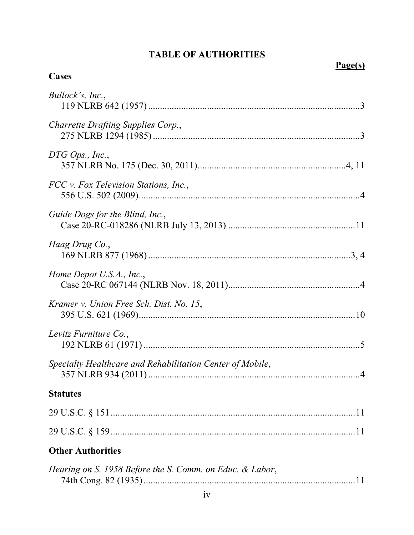# **TABLE OF AUTHORITIES**

| <b>Cases</b>                                              | Page(s) |
|-----------------------------------------------------------|---------|
| Bullock's, Inc.,                                          |         |
| Charrette Drafting Supplies Corp.,                        |         |
| DTG Ops., Inc.,                                           |         |
| FCC v. Fox Television Stations, Inc.,                     |         |
| Guide Dogs for the Blind, Inc.,                           |         |
| Haag Drug Co.,                                            |         |
| Home Depot U.S.A., Inc.,                                  |         |
| Kramer v. Union Free Sch. Dist. No. 15,                   |         |
| Levitz Furniture Co.,                                     |         |
| Specialty Healthcare and Rehabilitation Center of Mobile, |         |
| <b>Statutes</b>                                           |         |
|                                                           |         |
|                                                           |         |
| <b>Other Authorities</b>                                  |         |
| Hearing on S. 1958 Before the S. Comm. on Educ. & Labor,  |         |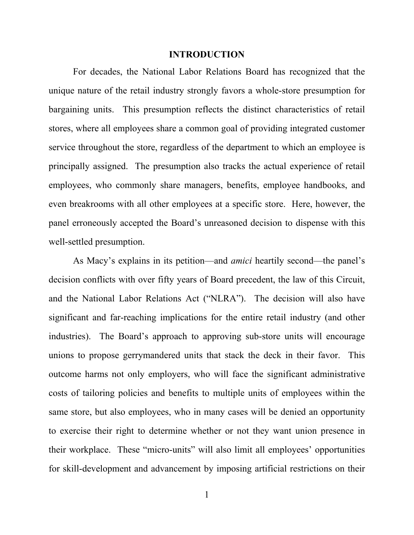#### **INTRODUCTION**

For decades, the National Labor Relations Board has recognized that the unique nature of the retail industry strongly favors a whole-store presumption for bargaining units. This presumption reflects the distinct characteristics of retail stores, where all employees share a common goal of providing integrated customer service throughout the store, regardless of the department to which an employee is principally assigned. The presumption also tracks the actual experience of retail employees, who commonly share managers, benefits, employee handbooks, and even breakrooms with all other employees at a specific store. Here, however, the panel erroneously accepted the Board's unreasoned decision to dispense with this well-settled presumption.

As Macy's explains in its petition—and *amici* heartily second—the panel's decision conflicts with over fifty years of Board precedent, the law of this Circuit, and the National Labor Relations Act ("NLRA"). The decision will also have significant and far-reaching implications for the entire retail industry (and other industries). The Board's approach to approving sub-store units will encourage unions to propose gerrymandered units that stack the deck in their favor. This outcome harms not only employers, who will face the significant administrative costs of tailoring policies and benefits to multiple units of employees within the same store, but also employees, who in many cases will be denied an opportunity to exercise their right to determine whether or not they want union presence in their workplace. These "micro-units" will also limit all employees' opportunities for skill-development and advancement by imposing artificial restrictions on their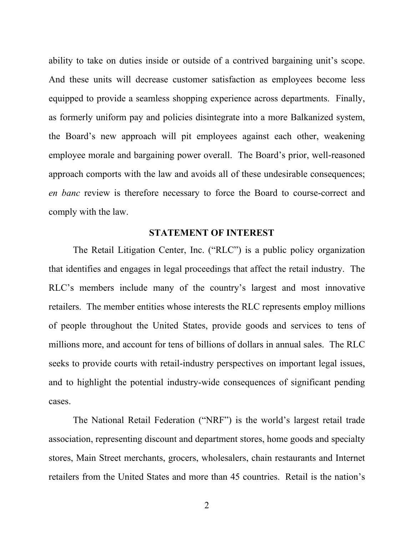ability to take on duties inside or outside of a contrived bargaining unit's scope. And these units will decrease customer satisfaction as employees become less equipped to provide a seamless shopping experience across departments. Finally, as formerly uniform pay and policies disintegrate into a more Balkanized system, the Board's new approach will pit employees against each other, weakening employee morale and bargaining power overall. The Board's prior, well-reasoned approach comports with the law and avoids all of these undesirable consequences; *en banc* review is therefore necessary to force the Board to course-correct and comply with the law.

#### **STATEMENT OF INTEREST**

The Retail Litigation Center, Inc. ("RLC") is a public policy organization that identifies and engages in legal proceedings that affect the retail industry. The RLC's members include many of the country's largest and most innovative retailers. The member entities whose interests the RLC represents employ millions of people throughout the United States, provide goods and services to tens of millions more, and account for tens of billions of dollars in annual sales. The RLC seeks to provide courts with retail-industry perspectives on important legal issues, and to highlight the potential industry-wide consequences of significant pending cases.

The National Retail Federation ("NRF") is the world's largest retail trade association, representing discount and department stores, home goods and specialty stores, Main Street merchants, grocers, wholesalers, chain restaurants and Internet retailers from the United States and more than 45 countries. Retail is the nation's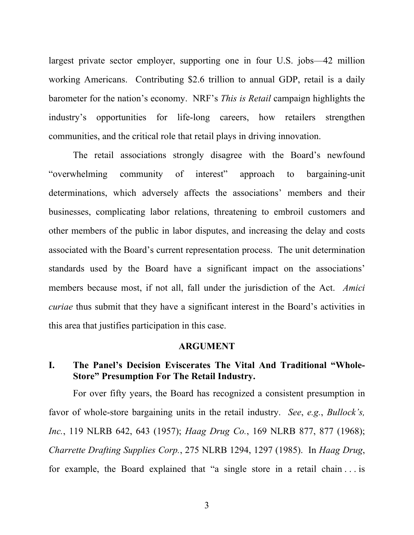largest private sector employer, supporting one in four U.S. jobs—42 million working Americans. Contributing \$2.6 trillion to annual GDP, retail is a daily barometer for the nation's economy. NRF's *This is Retail* campaign highlights the industry's opportunities for life-long careers, how retailers strengthen communities, and the critical role that retail plays in driving innovation.

The retail associations strongly disagree with the Board's newfound "overwhelming community of interest" approach to bargaining-unit determinations, which adversely affects the associations' members and their businesses, complicating labor relations, threatening to embroil customers and other members of the public in labor disputes, and increasing the delay and costs associated with the Board's current representation process. The unit determination standards used by the Board have a significant impact on the associations' members because most, if not all, fall under the jurisdiction of the Act. *Amici curiae* thus submit that they have a significant interest in the Board's activities in this area that justifies participation in this case.

#### <span id="page-7-2"></span><span id="page-7-0"></span>**ARGUMENT**

# **I. The Panel's Decision Eviscerates The Vital And Traditional "Whole-Store" Presumption For The Retail Industry.**

<span id="page-7-1"></span>For over fifty years, the Board has recognized a consistent presumption in favor of whole-store bargaining units in the retail industry. *See*, *e.g.*, *Bullock's, Inc.*, 119 NLRB 642, 643 (1957); *Haag Drug Co.*, 169 NLRB 877, 877 (1968); *Charrette Drafting Supplies Corp.*, 275 NLRB 1294, 1297 (1985). In *Haag Drug*, for example, the Board explained that "a single store in a retail chain . . . is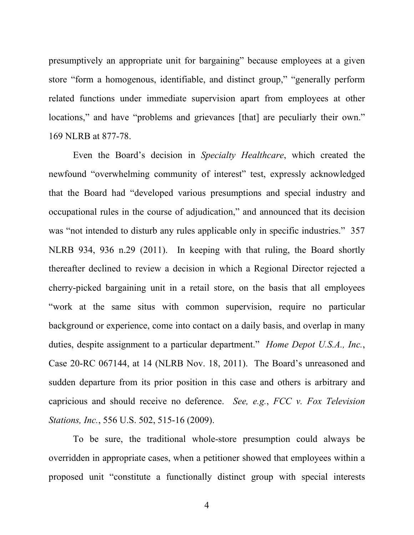presumptively an appropriate unit for bargaining" because employees at a given store "form a homogenous, identifiable, and distinct group," "generally perform related functions under immediate supervision apart from employees at other locations," and have "problems and grievances [that] are peculiarly their own." 169 NLRB at 877-78.

<span id="page-8-2"></span><span id="page-8-0"></span>Even the Board's decision in *Specialty Healthcare*, which created the newfound "overwhelming community of interest" test, expressly acknowledged that the Board had "developed various presumptions and special industry and occupational rules in the course of adjudication," and announced that its decision was "not intended to disturb any rules applicable only in specific industries." 357 NLRB 934, 936 n.29 (2011). In keeping with that ruling, the Board shortly thereafter declined to review a decision in which a Regional Director rejected a cherry-picked bargaining unit in a retail store, on the basis that all employees "work at the same situs with common supervision, require no particular background or experience, come into contact on a daily basis, and overlap in many duties, despite assignment to a particular department." *Home Depot U.S.A., Inc.*, Case 20-RC 067144, at 14 (NLRB Nov. 18, 2011). The Board's unreasoned and sudden departure from its prior position in this case and others is arbitrary and capricious and should receive no deference. *See, e.g.*, *FCC v. Fox Television Stations, Inc.*, 556 U.S. 502, 515-16 (2009).

<span id="page-8-3"></span><span id="page-8-1"></span>To be sure, the traditional whole-store presumption could always be overridden in appropriate cases, when a petitioner showed that employees within a proposed unit "constitute a functionally distinct group with special interests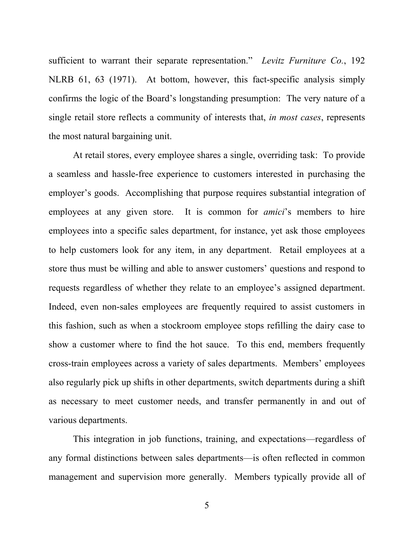<span id="page-9-0"></span>sufficient to warrant their separate representation." *Levitz Furniture Co.*, 192 NLRB 61, 63 (1971). At bottom, however, this fact-specific analysis simply confirms the logic of the Board's longstanding presumption: The very nature of a single retail store reflects a community of interests that, *in most cases*, represents the most natural bargaining unit.

At retail stores, every employee shares a single, overriding task: To provide a seamless and hassle-free experience to customers interested in purchasing the employer's goods. Accomplishing that purpose requires substantial integration of employees at any given store. It is common for *amici*'s members to hire employees into a specific sales department, for instance, yet ask those employees to help customers look for any item, in any department. Retail employees at a store thus must be willing and able to answer customers' questions and respond to requests regardless of whether they relate to an employee's assigned department. Indeed, even non-sales employees are frequently required to assist customers in this fashion, such as when a stockroom employee stops refilling the dairy case to show a customer where to find the hot sauce. To this end, members frequently cross-train employees across a variety of sales departments. Members' employees also regularly pick up shifts in other departments, switch departments during a shift as necessary to meet customer needs, and transfer permanently in and out of various departments.

This integration in job functions, training, and expectations—regardless of any formal distinctions between sales departments—is often reflected in common management and supervision more generally. Members typically provide all of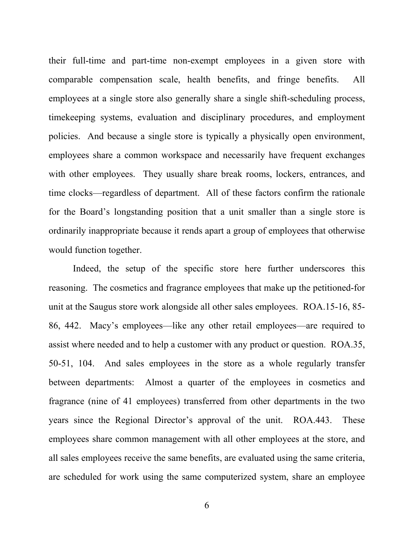their full-time and part-time non-exempt employees in a given store with comparable compensation scale, health benefits, and fringe benefits. All employees at a single store also generally share a single shift-scheduling process, timekeeping systems, evaluation and disciplinary procedures, and employment policies. And because a single store is typically a physically open environment, employees share a common workspace and necessarily have frequent exchanges with other employees. They usually share break rooms, lockers, entrances, and time clocks—regardless of department. All of these factors confirm the rationale for the Board's longstanding position that a unit smaller than a single store is ordinarily inappropriate because it rends apart a group of employees that otherwise would function together.

Indeed, the setup of the specific store here further underscores this reasoning. The cosmetics and fragrance employees that make up the petitioned-for unit at the Saugus store work alongside all other sales employees. ROA.15-16, 85- 86, 442. Macy's employees—like any other retail employees—are required to assist where needed and to help a customer with any product or question. ROA.35, 50-51, 104. And sales employees in the store as a whole regularly transfer between departments: Almost a quarter of the employees in cosmetics and fragrance (nine of 41 employees) transferred from other departments in the two years since the Regional Director's approval of the unit. ROA.443. These employees share common management with all other employees at the store, and all sales employees receive the same benefits, are evaluated using the same criteria, are scheduled for work using the same computerized system, share an employee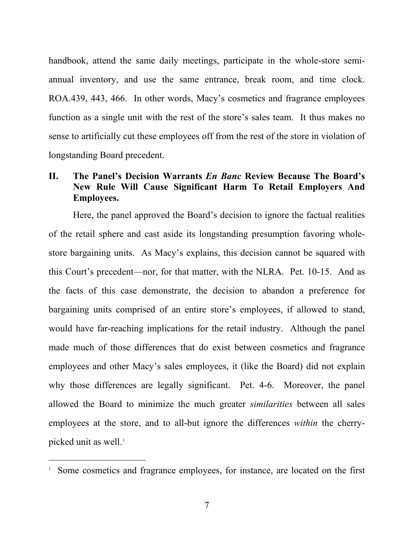handbook, attend the same daily meetings, participate in the whole-store semiannual inventory, and use the same entrance, break room, and time clock. ROA.439, 443, 466. In other words, Macy's cosmetics and fragrance employees function as a single unit with the rest of the store's sales team. It thus makes no sense to artificially cut these employees off from the rest of the store in violation of longstanding Board precedent.

# **II. The Panel's Decision Warrants** *En Banc* **Review Because The Board's New Rule Will Cause Significant Harm To Retail Employers And Employees.**

Here, the panel approved the Board's decision to ignore the factual realities of the retail sphere and cast aside its longstanding presumption favoring wholestore bargaining units. As Macy's explains, this decision cannot be squared with this Court's precedent—nor, for that matter, with the NLRA. Pet. 10-15. And as the facts of this case demonstrate, the decision to abandon a preference for bargaining units comprised of an entire store's employees, if allowed to stand, would have far-reaching implications for the retail industry. Although the panel made much of those differences that do exist between cosmetics and fragrance employees and other Macy's sales employees, it (like the Board) did not explain why those differences are legally significant. Pet. 4-6. Moreover, the panel allowed the Board to minimize the much greater *similarities* between all sales employees at the store, and to all-but ignore the differences *within* the cherrypicked unit as well. [1](#page-11-0)

<span id="page-11-0"></span> $\frac{1}{1}$ <sup>1</sup> Some cosmetics and fragrance employees, for instance, are located on the first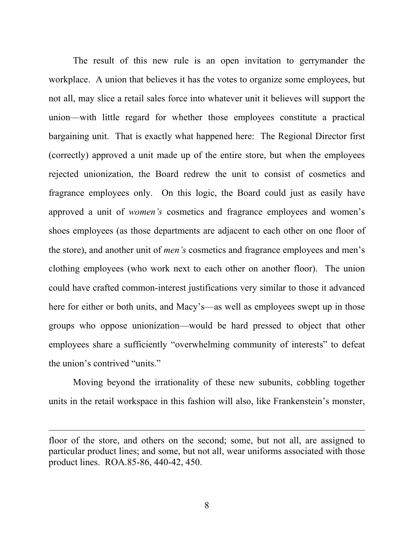The result of this new rule is an open invitation to gerrymander the workplace. A union that believes it has the votes to organize some employees, but not all, may slice a retail sales force into whatever unit it believes will support the union—with little regard for whether those employees constitute a practical bargaining unit. That is exactly what happened here: The Regional Director first (correctly) approved a unit made up of the entire store, but when the employees rejected unionization, the Board redrew the unit to consist of cosmetics and fragrance employees only. On this logic, the Board could just as easily have approved a unit of *women's* cosmetics and fragrance employees and women's shoes employees (as those departments are adjacent to each other on one floor of the store), and another unit of *men's* cosmetics and fragrance employees and men's clothing employees (who work next to each other on another floor). The union could have crafted common-interest justifications very similar to those it advanced here for either or both units, and Macy's—as well as employees swept up in those groups who oppose unionization—would be hard pressed to object that other employees share a sufficiently "overwhelming community of interests" to defeat the union's contrived "units."

Moving beyond the irrationality of these new subunits, cobbling together units in the retail workspace in this fashion will also, like Frankenstein's monster,

 $\overline{a}$ 

floor of the store, and others on the second; some, but not all, are assigned to particular product lines; and some, but not all, wear uniforms associated with those product lines. ROA.85-86, 440-42, 450.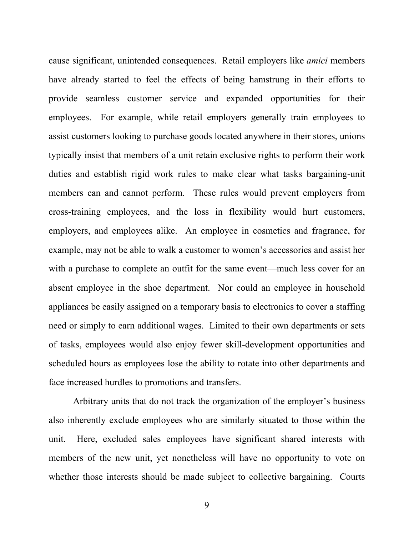cause significant, unintended consequences. Retail employers like *amici* members have already started to feel the effects of being hamstrung in their efforts to provide seamless customer service and expanded opportunities for their employees. For example, while retail employers generally train employees to assist customers looking to purchase goods located anywhere in their stores, unions typically insist that members of a unit retain exclusive rights to perform their work duties and establish rigid work rules to make clear what tasks bargaining-unit members can and cannot perform. These rules would prevent employers from cross-training employees, and the loss in flexibility would hurt customers, employers, and employees alike. An employee in cosmetics and fragrance, for example, may not be able to walk a customer to women's accessories and assist her with a purchase to complete an outfit for the same event—much less cover for an absent employee in the shoe department. Nor could an employee in household appliances be easily assigned on a temporary basis to electronics to cover a staffing need or simply to earn additional wages. Limited to their own departments or sets of tasks, employees would also enjoy fewer skill-development opportunities and scheduled hours as employees lose the ability to rotate into other departments and face increased hurdles to promotions and transfers.

Arbitrary units that do not track the organization of the employer's business also inherently exclude employees who are similarly situated to those within the unit. Here, excluded sales employees have significant shared interests with members of the new unit, yet nonetheless will have no opportunity to vote on whether those interests should be made subject to collective bargaining. Courts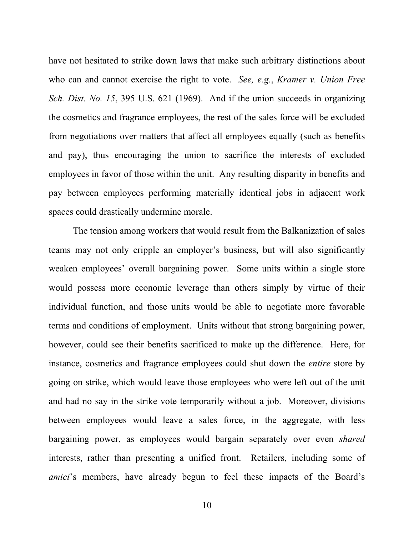<span id="page-14-0"></span>have not hesitated to strike down laws that make such arbitrary distinctions about who can and cannot exercise the right to vote. *See, e.g.*, *Kramer v. Union Free Sch. Dist. No. 15*, 395 U.S. 621 (1969). And if the union succeeds in organizing the cosmetics and fragrance employees, the rest of the sales force will be excluded from negotiations over matters that affect all employees equally (such as benefits and pay), thus encouraging the union to sacrifice the interests of excluded employees in favor of those within the unit. Any resulting disparity in benefits and pay between employees performing materially identical jobs in adjacent work spaces could drastically undermine morale.

The tension among workers that would result from the Balkanization of sales teams may not only cripple an employer's business, but will also significantly weaken employees' overall bargaining power. Some units within a single store would possess more economic leverage than others simply by virtue of their individual function, and those units would be able to negotiate more favorable terms and conditions of employment. Units without that strong bargaining power, however, could see their benefits sacrificed to make up the difference. Here, for instance, cosmetics and fragrance employees could shut down the *entire* store by going on strike, which would leave those employees who were left out of the unit and had no say in the strike vote temporarily without a job. Moreover, divisions between employees would leave a sales force, in the aggregate, with less bargaining power, as employees would bargain separately over even *shared* interests, rather than presenting a unified front. Retailers, including some of *amici*'s members, have already begun to feel these impacts of the Board's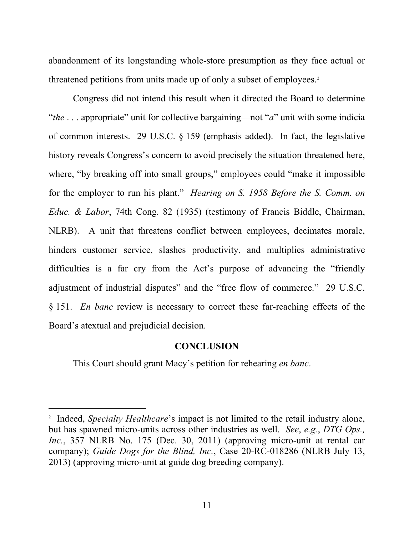abandonment of its longstanding whole-store presumption as they face actual or threatened petitions from units made up of only a subset of employees. [2](#page-15-5)

<span id="page-15-3"></span>Congress did not intend this result when it directed the Board to determine "*the* . . . appropriate" unit for collective bargaining—not "*a*" unit with some indicia of common interests. 29 U.S.C. § 159 (emphasis added). In fact, the legislative history reveals Congress's concern to avoid precisely the situation threatened here, where, "by breaking off into small groups," employees could "make it impossible for the employer to run his plant." *Hearing on S. 1958 Before the S. Comm. on Educ. & Labor*, 74th Cong. 82 (1935) (testimony of Francis Biddle, Chairman, NLRB). A unit that threatens conflict between employees, decimates morale, hinders customer service, slashes productivity, and multiplies administrative difficulties is a far cry from the Act's purpose of advancing the "friendly adjustment of industrial disputes" and the "free flow of commerce." 29 U.S.C. § 151. *En banc* review is necessary to correct these far-reaching effects of the Board's atextual and prejudicial decision.

#### <span id="page-15-4"></span><span id="page-15-2"></span><span id="page-15-0"></span>**CONCLUSION**

This Court should grant Macy's petition for rehearing *en banc*.

<span id="page-15-5"></span><span id="page-15-1"></span> $\frac{1}{2}$ <sup>2</sup> Indeed, *Specialty Healthcare*'s impact is not limited to the retail industry alone, but has spawned micro-units across other industries as well. *See*, *e.g.*, *DTG Ops., Inc.*, 357 NLRB No. 175 (Dec. 30, 2011) (approving micro-unit at rental car company); *Guide Dogs for the Blind, Inc.*, Case 20-RC-018286 (NLRB July 13, 2013) (approving micro-unit at guide dog breeding company).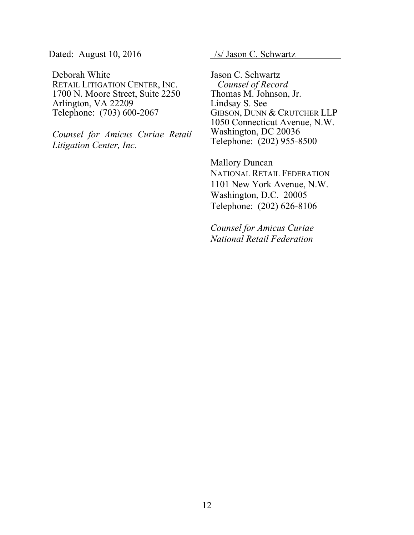Dated: August 10, 2016 /s/ Jason C. Schwartz

Deborah White RETAIL LITIGATION CENTER, INC. 1700 N. Moore Street, Suite 2250 Arlington, VA 22209 Telephone: (703) 600-2067

*Counsel for Amicus Curiae Retail Litigation Center, Inc.*

Jason C. Schwartz *Counsel of Record* Thomas M. Johnson, Jr. Lindsay S. See GIBSON, DUNN & CRUTCHER LLP 1050 Connecticut Avenue, N.W. Washington, DC 20036 Telephone: (202) 955-8500

Mallory Duncan NATIONAL RETAIL FEDERATION 1101 New York Avenue, N.W. Washington, D.C. 20005 Telephone: (202) 626-8106

*Counsel for Amicus Curiae National Retail Federation*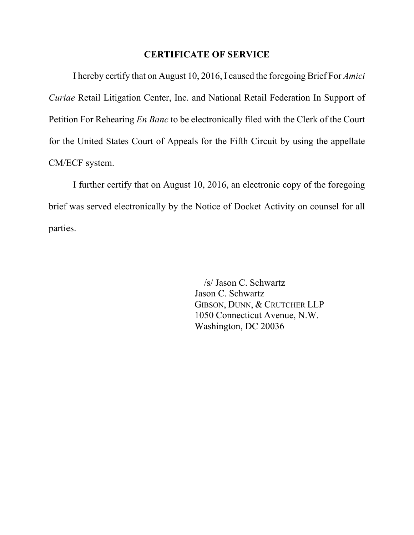#### **CERTIFICATE OF SERVICE**

I hereby certify that on August 10, 2016, I caused the foregoing Brief For *Amici Curiae* Retail Litigation Center, Inc. and National Retail Federation In Support of Petition For Rehearing *En Banc* to be electronically filed with the Clerk of the Court for the United States Court of Appeals for the Fifth Circuit by using the appellate CM/ECF system.

I further certify that on August 10, 2016, an electronic copy of the foregoing brief was served electronically by the Notice of Docket Activity on counsel for all parties.

> /s/ Jason C. Schwartz Jason C. Schwartz GIBSON, DUNN, & CRUTCHER LLP 1050 Connecticut Avenue, N.W. Washington, DC 20036